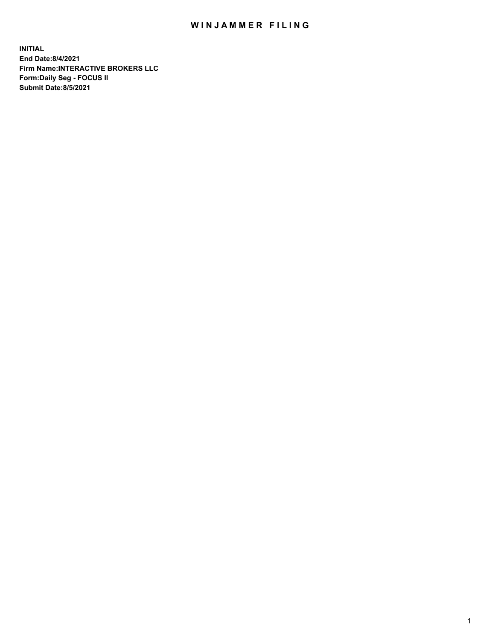## WIN JAMMER FILING

**INITIAL End Date:8/4/2021 Firm Name:INTERACTIVE BROKERS LLC Form:Daily Seg - FOCUS II Submit Date:8/5/2021**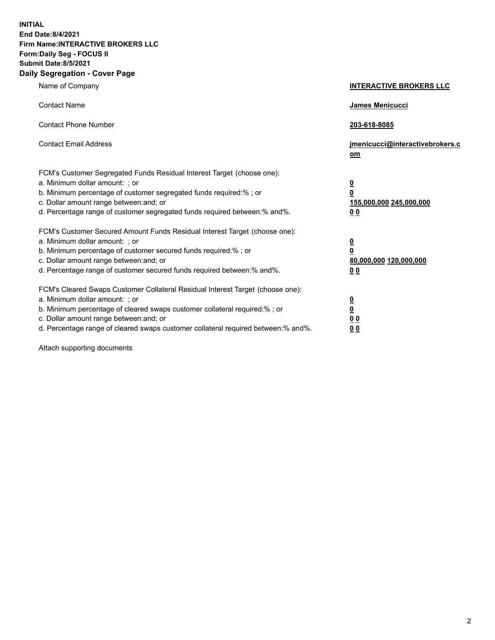**INITIAL End Date:8/4/2021 Firm Name:INTERACTIVE BROKERS LLC Form:Daily Seg - FOCUS II Submit Date:8/5/2021 Daily Segregation - Cover Page**

| Name of Company                                                                                                                                                                                                                                                                                                                | <b>INTERACTIVE BROKERS LLC</b>                                                                  |
|--------------------------------------------------------------------------------------------------------------------------------------------------------------------------------------------------------------------------------------------------------------------------------------------------------------------------------|-------------------------------------------------------------------------------------------------|
| <b>Contact Name</b>                                                                                                                                                                                                                                                                                                            | <b>James Menicucci</b>                                                                          |
| <b>Contact Phone Number</b>                                                                                                                                                                                                                                                                                                    | 203-618-8085                                                                                    |
| <b>Contact Email Address</b>                                                                                                                                                                                                                                                                                                   | jmenicucci@interactivebrokers.c<br>om                                                           |
| FCM's Customer Segregated Funds Residual Interest Target (choose one):<br>a. Minimum dollar amount: ; or<br>b. Minimum percentage of customer segregated funds required:%; or<br>c. Dollar amount range between: and; or<br>d. Percentage range of customer segregated funds required between:% and%.                          | $\overline{\mathbf{0}}$<br>$\overline{\mathbf{0}}$<br>155,000,000 245,000,000<br>0 <sub>0</sub> |
| FCM's Customer Secured Amount Funds Residual Interest Target (choose one):<br>a. Minimum dollar amount: ; or<br>b. Minimum percentage of customer secured funds required:%; or<br>c. Dollar amount range between: and; or<br>d. Percentage range of customer secured funds required between:% and%.                            | $\overline{\mathbf{0}}$<br>$\overline{\mathbf{0}}$<br>80,000,000 120,000,000<br>0 <sub>0</sub>  |
| FCM's Cleared Swaps Customer Collateral Residual Interest Target (choose one):<br>a. Minimum dollar amount: ; or<br>b. Minimum percentage of cleared swaps customer collateral required:% ; or<br>c. Dollar amount range between: and; or<br>d. Percentage range of cleared swaps customer collateral required between:% and%. | $\overline{\mathbf{0}}$<br>$\overline{\mathbf{0}}$<br>0 <sub>0</sub><br>0 <sub>0</sub>          |

Attach supporting documents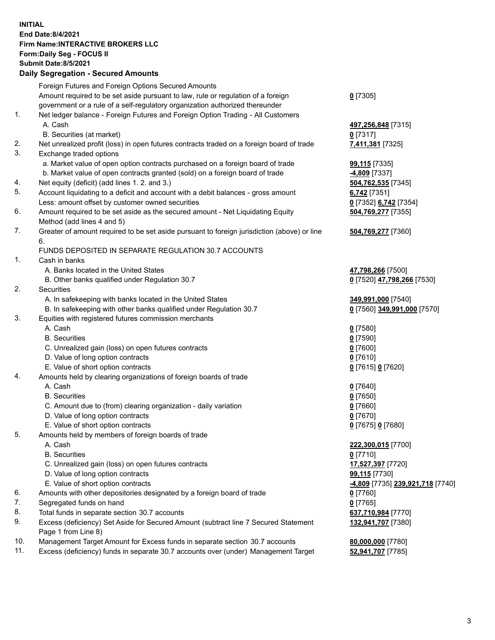## **INITIAL End Date:8/4/2021 Firm Name:INTERACTIVE BROKERS LLC Form:Daily Seg - FOCUS II Submit Date:8/5/2021 Daily Segregation - Secured Amounts**

|     | Pany Ocgregation - Oceanca Anioanic                                                         |                                               |
|-----|---------------------------------------------------------------------------------------------|-----------------------------------------------|
|     | Foreign Futures and Foreign Options Secured Amounts                                         |                                               |
|     | Amount required to be set aside pursuant to law, rule or regulation of a foreign            | $0$ [7305]                                    |
|     | government or a rule of a self-regulatory organization authorized thereunder                |                                               |
| 1.  | Net ledger balance - Foreign Futures and Foreign Option Trading - All Customers             |                                               |
|     | A. Cash                                                                                     | 497,256,848 [7315]                            |
|     | B. Securities (at market)                                                                   | $0$ [7317]                                    |
| 2.  | Net unrealized profit (loss) in open futures contracts traded on a foreign board of trade   | 7,411,381 [7325]                              |
| 3.  | Exchange traded options                                                                     |                                               |
|     | a. Market value of open option contracts purchased on a foreign board of trade              | <b>99,115</b> [7335]                          |
|     | b. Market value of open contracts granted (sold) on a foreign board of trade                | -4,809 [7337]                                 |
| 4.  | Net equity (deficit) (add lines 1. 2. and 3.)                                               | 504,762,535 [7345]                            |
| 5.  | Account liquidating to a deficit and account with a debit balances - gross amount           | $6,742$ [7351]                                |
|     | Less: amount offset by customer owned securities                                            | 0 [7352] 6,742 [7354]                         |
| 6.  | Amount required to be set aside as the secured amount - Net Liquidating Equity              | 504,769,277 [7355]                            |
|     | Method (add lines 4 and 5)                                                                  |                                               |
| 7.  | Greater of amount required to be set aside pursuant to foreign jurisdiction (above) or line | 504,769,277 [7360]                            |
|     | 6.                                                                                          |                                               |
|     | FUNDS DEPOSITED IN SEPARATE REGULATION 30.7 ACCOUNTS                                        |                                               |
| 1.  | Cash in banks                                                                               |                                               |
|     | A. Banks located in the United States                                                       | 47,798,266 [7500]                             |
|     | B. Other banks qualified under Regulation 30.7                                              | 0 [7520] 47,798,266 [7530]                    |
| 2.  | Securities                                                                                  |                                               |
|     | A. In safekeeping with banks located in the United States                                   | 349,991,000 [7540]                            |
|     | B. In safekeeping with other banks qualified under Regulation 30.7                          | 0 [7560] 349,991,000 [7570]                   |
| 3.  | Equities with registered futures commission merchants                                       |                                               |
|     | A. Cash                                                                                     | $0$ [7580]                                    |
|     | <b>B.</b> Securities                                                                        | $0$ [7590]                                    |
|     | C. Unrealized gain (loss) on open futures contracts                                         | $0$ [7600]                                    |
|     | D. Value of long option contracts                                                           | $0$ [7610]                                    |
|     | E. Value of short option contracts                                                          | 0 [7615] 0 [7620]                             |
| 4.  | Amounts held by clearing organizations of foreign boards of trade                           |                                               |
|     | A. Cash                                                                                     | $Q$ [7640]                                    |
|     | <b>B.</b> Securities                                                                        | $0$ [7650]                                    |
|     | C. Amount due to (from) clearing organization - daily variation                             | $0$ [7660]                                    |
|     | D. Value of long option contracts                                                           | $0$ [7670]                                    |
|     | E. Value of short option contracts                                                          | 0 [7675] 0 [7680]                             |
| 5.  | Amounts held by members of foreign boards of trade                                          |                                               |
|     | A. Cash                                                                                     | 222,300,015 [7700]                            |
|     | <b>B.</b> Securities                                                                        | $0$ [7710]                                    |
|     | C. Unrealized gain (loss) on open futures contracts                                         | 17,527,397 [7720]                             |
|     | D. Value of long option contracts                                                           | 99,115 [7730]                                 |
|     | E. Value of short option contracts                                                          | <mark>-4,809</mark> [7735] 239,921,718 [7740] |
| 6.  | Amounts with other depositories designated by a foreign board of trade                      | 0 [7760]                                      |
| 7.  | Segregated funds on hand                                                                    | $0$ [7765]                                    |
| 8.  | Total funds in separate section 30.7 accounts                                               | 637,710,984 [7770]                            |
| 9.  | Excess (deficiency) Set Aside for Secured Amount (subtract line 7 Secured Statement         | 132,941,707 [7380]                            |
| 10. | Page 1 from Line 8)                                                                         |                                               |
| 11. | Management Target Amount for Excess funds in separate section 30.7 accounts                 | 80,000,000 [7780]                             |
|     | Excess (deficiency) funds in separate 30.7 accounts over (under) Management Target          | 52,941,707 [7785]                             |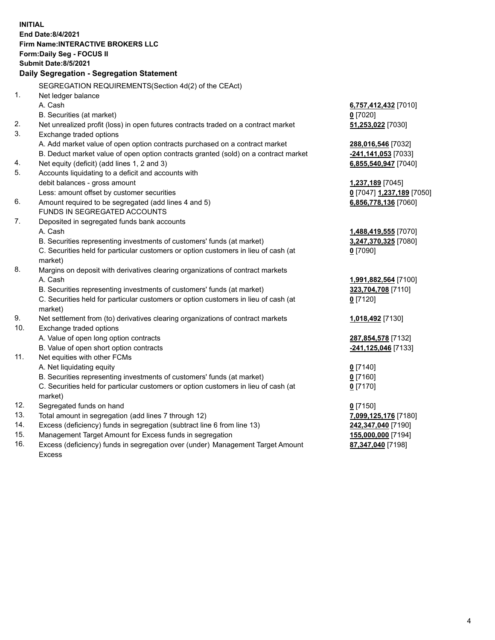**INITIAL End Date:8/4/2021 Firm Name:INTERACTIVE BROKERS LLC Form:Daily Seg - FOCUS II Submit Date:8/5/2021 Daily Segregation - Segregation Statement** SEGREGATION REQUIREMENTS(Section 4d(2) of the CEAct) 1. Net ledger balance A. Cash **6,757,412,432** [7010] B. Securities (at market) **0** [7020] 2. Net unrealized profit (loss) in open futures contracts traded on a contract market **51,253,022** [7030] 3. Exchange traded options A. Add market value of open option contracts purchased on a contract market **288,016,546** [7032] B. Deduct market value of open option contracts granted (sold) on a contract market **-241,141,053** [7033] 4. Net equity (deficit) (add lines 1, 2 and 3) **6,855,540,947** [7040] 5. Accounts liquidating to a deficit and accounts with debit balances - gross amount **1,237,189** [7045] Less: amount offset by customer securities **0** [7047] **1,237,189** [7050] 6. Amount required to be segregated (add lines 4 and 5) **6,856,778,136** [7060] FUNDS IN SEGREGATED ACCOUNTS 7. Deposited in segregated funds bank accounts A. Cash **1,488,419,555** [7070] B. Securities representing investments of customers' funds (at market) **3,247,370,325** [7080] C. Securities held for particular customers or option customers in lieu of cash (at market) **0** [7090] 8. Margins on deposit with derivatives clearing organizations of contract markets A. Cash **1,991,882,564** [7100] B. Securities representing investments of customers' funds (at market) **323,704,708** [7110] C. Securities held for particular customers or option customers in lieu of cash (at market) **0** [7120] 9. Net settlement from (to) derivatives clearing organizations of contract markets **1,018,492** [7130] 10. Exchange traded options A. Value of open long option contracts **287,854,578** [7132] B. Value of open short option contracts **-241,125,046** [7133] 11. Net equities with other FCMs A. Net liquidating equity **0** [7140] B. Securities representing investments of customers' funds (at market) **0** [7160] C. Securities held for particular customers or option customers in lieu of cash (at market) **0** [7170] 12. Segregated funds on hand **0** [7150] 13. Total amount in segregation (add lines 7 through 12) **7,099,125,176** [7180] 14. Excess (deficiency) funds in segregation (subtract line 6 from line 13) **242,347,040** [7190] 15. Management Target Amount for Excess funds in segregation **155,000,000** [7194] **87,347,040** [7198]

16. Excess (deficiency) funds in segregation over (under) Management Target Amount Excess